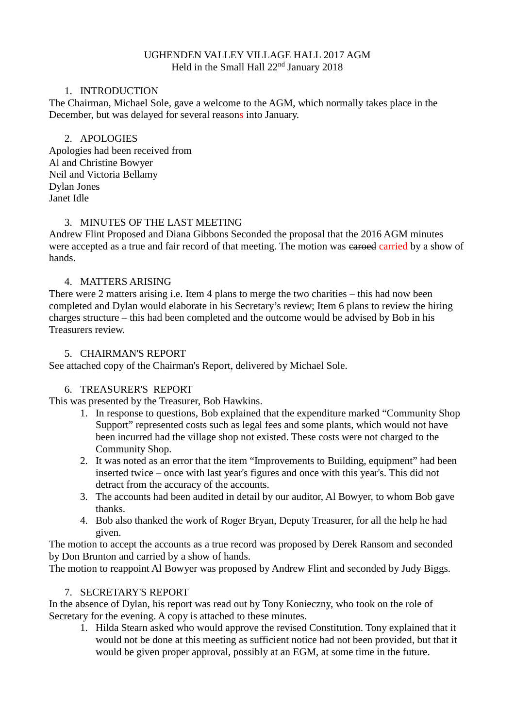### UGHENDEN VALLEY VILLAGE HALL 2017 AGM Held in the Small Hall  $22<sup>nd</sup>$  January 2018

### 1. INTRODUCTION

The Chairman, Michael Sole, gave a welcome to the AGM, which normally takes place in the December, but was delayed for several reasons into January.

### 2. APOLOGIES

Apologies had been received from Al and Christine Bowyer Neil and Victoria Bellamy Dylan Jones Janet Idle

## 3. MINUTES OF THE LAST MEETING

Andrew Flint Proposed and Diana Gibbons Seconded the proposal that the 2016 AGM minutes were accepted as a true and fair record of that meeting. The motion was earoed carried by a show of hands.

### 4. MATTERS ARISING

There were 2 matters arising i.e. Item 4 plans to merge the two charities – this had now been completed and Dylan would elaborate in his Secretary's review; Item 6 plans to review the hiring charges structure – this had been completed and the outcome would be advised by Bob in his Treasurers review.

### 5. CHAIRMAN'S REPORT

See attached copy of the Chairman's Report, delivered by Michael Sole.

### 6. TREASURER'S REPORT

This was presented by the Treasurer, Bob Hawkins.

- 1. In response to questions, Bob explained that the expenditure marked "Community Shop Support" represented costs such as legal fees and some plants, which would not have been incurred had the village shop not existed. These costs were not charged to the Community Shop.
- 2. It was noted as an error that the item "Improvements to Building, equipment" had been inserted twice – once with last year's figures and once with this year's. This did not detract from the accuracy of the accounts.
- 3. The accounts had been audited in detail by our auditor, Al Bowyer, to whom Bob gave thanks.
- 4. Bob also thanked the work of Roger Bryan, Deputy Treasurer, for all the help he had given.

The motion to accept the accounts as a true record was proposed by Derek Ransom and seconded by Don Brunton and carried by a show of hands.

The motion to reappoint Al Bowyer was proposed by Andrew Flint and seconded by Judy Biggs.

### 7. SECRETARY'S REPORT

In the absence of Dylan, his report was read out by Tony Konieczny, who took on the role of Secretary for the evening. A copy is attached to these minutes.

1. Hilda Stearn asked who would approve the revised Constitution. Tony explained that it would not be done at this meeting as sufficient notice had not been provided, but that it would be given proper approval, possibly at an EGM, at some time in the future.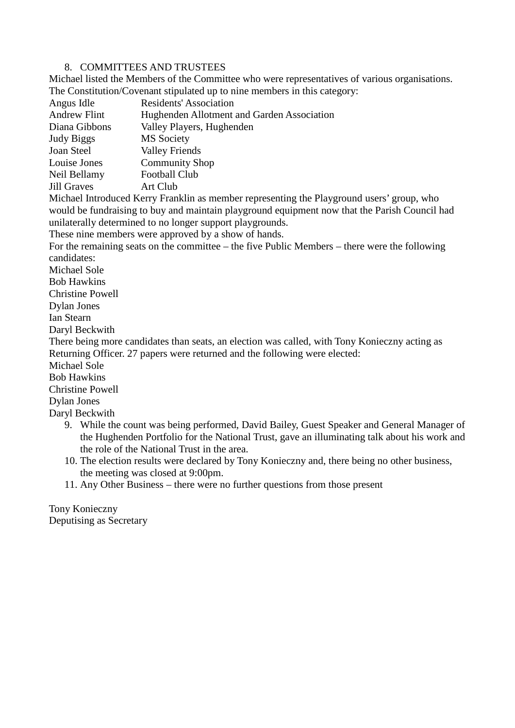#### 8. COMMITTEES AND TRUSTEES

Michael listed the Members of the Committee who were representatives of various organisations. The Constitution/Covenant stipulated up to nine members in this category:

| Angus Idle          | Residents' Association                     |  |
|---------------------|--------------------------------------------|--|
| <b>Andrew Flint</b> | Hughenden Allotment and Garden Association |  |
| Diana Gibbons       | Valley Players, Hughenden                  |  |
| Judy Biggs          | <b>MS</b> Society                          |  |
| Joan Steel          | <b>Valley Friends</b>                      |  |
| Louise Jones        | <b>Community Shop</b>                      |  |
| Neil Bellamy        | <b>Football Club</b>                       |  |
| Jill Graves         | Art Club                                   |  |
|                     |                                            |  |

Michael Introduced Kerry Franklin as member representing the Playground users' group, who would be fundraising to buy and maintain playground equipment now that the Parish Council had unilaterally determined to no longer support playgrounds.

These nine members were approved by a show of hands.

For the remaining seats on the committee – the five Public Members – there were the following candidates:

Michael Sole

Bob Hawkins

Christine Powell

Dylan Jones

Ian Stearn

Daryl Beckwith

There being more candidates than seats, an election was called, with Tony Konieczny acting as Returning Officer. 27 papers were returned and the following were elected:

Michael Sole

Bob Hawkins

Christine Powell

Dylan Jones

Daryl Beckwith

- 9. While the count was being performed, David Bailey, Guest Speaker and General Manager of the Hughenden Portfolio for the National Trust, gave an illuminating talk about his work and the role of the National Trust in the area.
- 10. The election results were declared by Tony Konieczny and, there being no other business, the meeting was closed at 9:00pm.

11. Any Other Business – there were no further questions from those present

Tony Konieczny Deputising as Secretary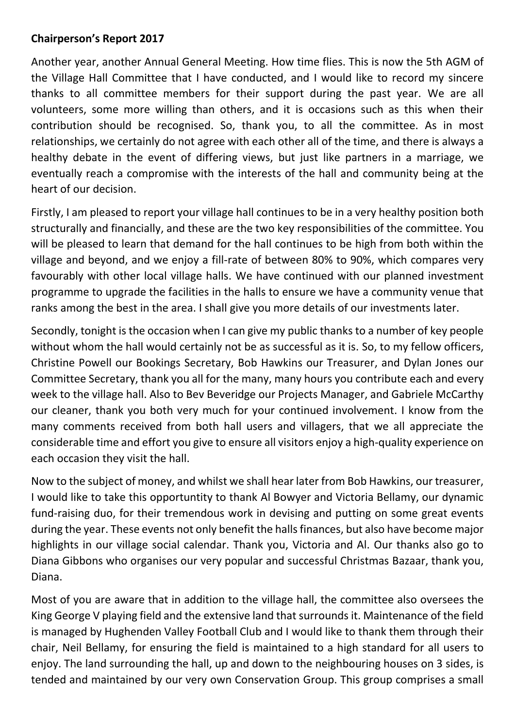# **Chairperson's Report 2017**

Another year, another Annual General Meeting. How time flies. This is now the 5th AGM of the Village Hall Committee that I have conducted, and I would like to record my sincere thanks to all committee members for their support during the past year. We are all volunteers, some more willing than others, and it is occasions such as this when their contribution should be recognised. So, thank you, to all the committee. As in most relationships, we certainly do not agree with each other all of the time, and there is always a healthy debate in the event of differing views, but just like partners in a marriage, we eventually reach a compromise with the interests of the hall and community being at the heart of our decision.

Firstly, I am pleased to report your village hall continues to be in a very healthy position both structurally and financially, and these are the two key responsibilities of the committee. You will be pleased to learn that demand for the hall continues to be high from both within the village and beyond, and we enjoy a fill-rate of between 80% to 90%, which compares very favourably with other local village halls. We have continued with our planned investment programme to upgrade the facilities in the halls to ensure we have a community venue that ranks among the best in the area. I shall give you more details of our investments later.

Secondly, tonight is the occasion when I can give my public thanks to a number of key people without whom the hall would certainly not be as successful as it is. So, to my fellow officers, Christine Powell our Bookings Secretary, Bob Hawkins our Treasurer, and Dylan Jones our Committee Secretary, thank you all for the many, many hours you contribute each and every week to the village hall. Also to Bev Beveridge our Projects Manager, and Gabriele McCarthy our cleaner, thank you both very much for your continued involvement. I know from the many comments received from both hall users and villagers, that we all appreciate the considerable time and effort you give to ensure all visitors enjoy a high-quality experience on each occasion they visit the hall.

Now to the subject of money, and whilst we shall hear later from Bob Hawkins, our treasurer, I would like to take this opportuntity to thank Al Bowyer and Victoria Bellamy, our dynamic fund-raising duo, for their tremendous work in devising and putting on some great events during the year. These events not only benefit the halls finances, but also have become major highlights in our village social calendar. Thank you, Victoria and Al. Our thanks also go to Diana Gibbons who organises our very popular and successful Christmas Bazaar, thank you, Diana.

Most of you are aware that in addition to the village hall, the committee also oversees the King George V playing field and the extensive land that surroundsit. Maintenance of the field is managed by Hughenden Valley Football Club and I would like to thank them through their chair, Neil Bellamy, for ensuring the field is maintained to a high standard for all users to enjoy. The land surrounding the hall, up and down to the neighbouring houses on 3 sides, is tended and maintained by our very own Conservation Group. This group comprises a small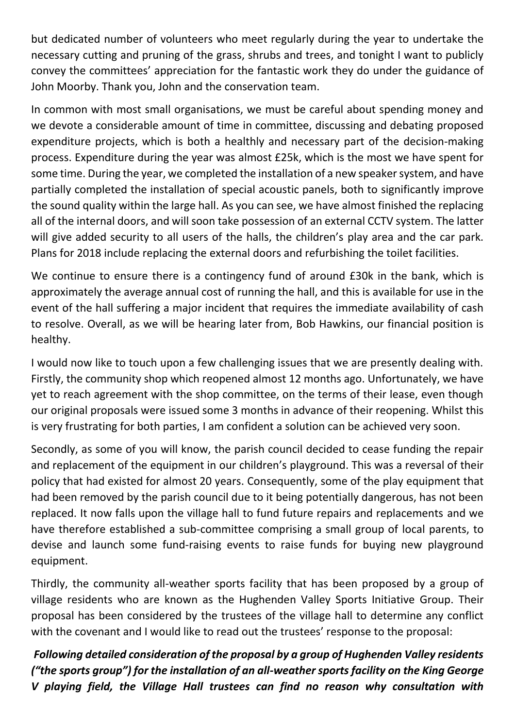but dedicated number of volunteers who meet regularly during the year to undertake the necessary cutting and pruning of the grass, shrubs and trees, and tonight I want to publicly convey the committees' appreciation for the fantastic work they do under the guidance of John Moorby. Thank you, John and the conservation team.

In common with most small organisations, we must be careful about spending money and we devote a considerable amount of time in committee, discussing and debating proposed expenditure projects, which is both a healthly and necessary part of the decision-making process. Expenditure during the year was almost £25k, which is the most we have spent for some time. During the year, we completed the installation of a new speaker system, and have partially completed the installation of special acoustic panels, both to significantly improve the sound quality within the large hall. As you can see, we have almost finished the replacing all of the internal doors, and will soon take possession of an external CCTV system. The latter will give added security to all users of the halls, the children's play area and the car park. Plans for 2018 include replacing the external doors and refurbishing the toilet facilities.

We continue to ensure there is a contingency fund of around £30k in the bank, which is approximately the average annual cost of running the hall, and this is available for use in the event of the hall suffering a major incident that requires the immediate availability of cash to resolve. Overall, as we will be hearing later from, Bob Hawkins, our financial position is healthy.

I would now like to touch upon a few challenging issues that we are presently dealing with. Firstly, the community shop which reopened almost 12 months ago. Unfortunately, we have yet to reach agreement with the shop committee, on the terms of their lease, even though our original proposals were issued some 3 months in advance of their reopening. Whilst this is very frustrating for both parties, I am confident a solution can be achieved very soon.

Secondly, as some of you will know, the parish council decided to cease funding the repair and replacement of the equipment in our children's playground. This was a reversal of their policy that had existed for almost 20 years. Consequently, some of the play equipment that had been removed by the parish council due to it being potentially dangerous, has not been replaced. It now falls upon the village hall to fund future repairs and replacements and we have therefore established a sub-committee comprising a small group of local parents, to devise and launch some fund-raising events to raise funds for buying new playground equipment.

Thirdly, the community all-weather sports facility that has been proposed by a group of village residents who are known as the Hughenden Valley Sports Initiative Group. Their proposal has been considered by the trustees of the village hall to determine any conflict with the covenant and I would like to read out the trustees' response to the proposal:

*Following detailed consideration of the proposal by a group of Hughenden Valley residents ("the sports group") for the installation of an all-weather sports facility on the King George V playing field, the Village Hall trustees can find no reason why consultation with*